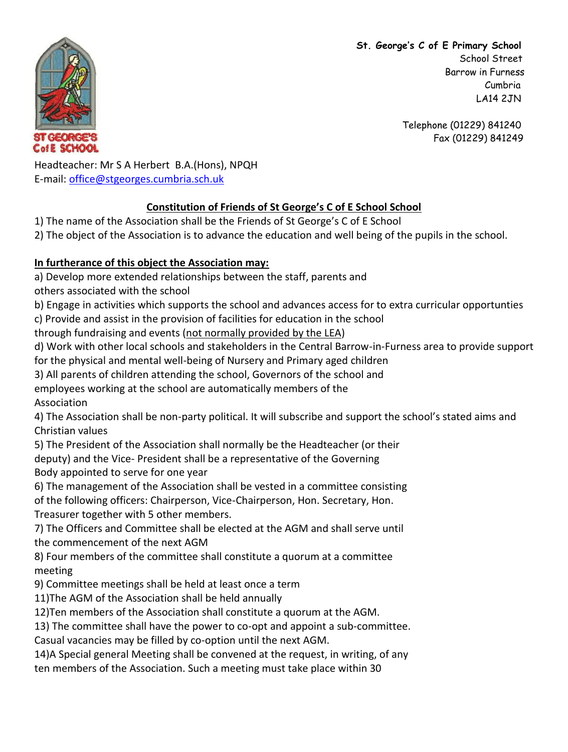**St. George's C of E Primary School** School Street Barrow in Furness Cumbria LA14 2JN

> Telephone (01229) 841240 Fax (01229) 841249

 $C = 0$  ,  $C$ CofE SCHOOL

Headteacher: Mr S A Herbert B.A.(Hons), NPQH E-mail: [office@stgeorges.cumbria.sch.uk](mailto:office@stgeorges.cumbria.sch.uk)

## **Constitution of Friends of St George's C of E School School**

- 1) The name of the Association shall be the Friends of St George's C of E School
- 2) The object of the Association is to advance the education and well being of the pupils in the school.

## **In furtherance of this object the Association may:**

a) Develop more extended relationships between the staff, parents and

others associated with the school

b) Engage in activities which supports the school and advances access for to extra curricular opportunties

c) Provide and assist in the provision of facilities for education in the school

through fundraising and events (not normally provided by the LEA)

d) Work with other local schools and stakeholders in the Central Barrow-in-Furness area to provide support for the physical and mental well-being of Nursery and Primary aged children

3) All parents of children attending the school, Governors of the school and

employees working at the school are automatically members of the

Association

4) The Association shall be non-party political. It will subscribe and support the school's stated aims and Christian values

5) The President of the Association shall normally be the Headteacher (or their deputy) and the Vice- President shall be a representative of the Governing

Body appointed to serve for one year

6) The management of the Association shall be vested in a committee consisting

of the following officers: Chairperson, Vice-Chairperson, Hon. Secretary, Hon.

Treasurer together with 5 other members.

7) The Officers and Committee shall be elected at the AGM and shall serve until the commencement of the next AGM

8) Four members of the committee shall constitute a quorum at a committee meeting

9) Committee meetings shall be held at least once a term

11)The AGM of the Association shall be held annually

12)Ten members of the Association shall constitute a quorum at the AGM.

13) The committee shall have the power to co-opt and appoint a sub-committee.

Casual vacancies may be filled by co-option until the next AGM.

14)A Special general Meeting shall be convened at the request, in writing, of any

ten members of the Association. Such a meeting must take place within 30